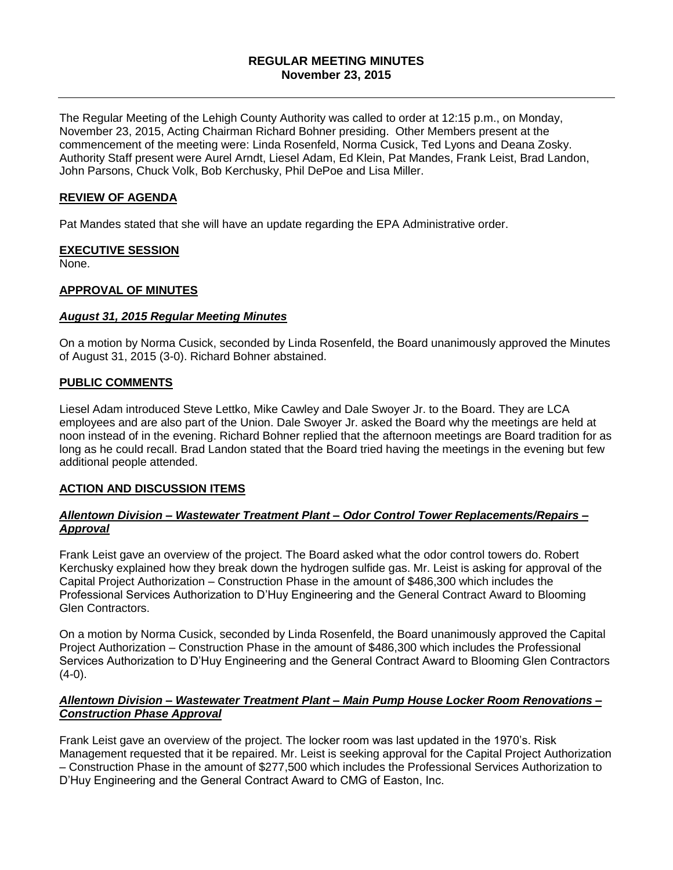### **REGULAR MEETING MINUTES November 23, 2015**

The Regular Meeting of the Lehigh County Authority was called to order at 12:15 p.m., on Monday, November 23, 2015, Acting Chairman Richard Bohner presiding. Other Members present at the commencement of the meeting were: Linda Rosenfeld, Norma Cusick, Ted Lyons and Deana Zosky. Authority Staff present were Aurel Arndt, Liesel Adam, Ed Klein, Pat Mandes, Frank Leist, Brad Landon, John Parsons, Chuck Volk, Bob Kerchusky, Phil DePoe and Lisa Miller.

### **REVIEW OF AGENDA**

Pat Mandes stated that she will have an update regarding the EPA Administrative order.

# **EXECUTIVE SESSION**

None.

# **APPROVAL OF MINUTES**

### *August 31, 2015 Regular Meeting Minutes*

On a motion by Norma Cusick, seconded by Linda Rosenfeld, the Board unanimously approved the Minutes of August 31, 2015 (3-0). Richard Bohner abstained.

# **PUBLIC COMMENTS**

Liesel Adam introduced Steve Lettko, Mike Cawley and Dale Swoyer Jr. to the Board. They are LCA employees and are also part of the Union. Dale Swoyer Jr. asked the Board why the meetings are held at noon instead of in the evening. Richard Bohner replied that the afternoon meetings are Board tradition for as long as he could recall. Brad Landon stated that the Board tried having the meetings in the evening but few additional people attended.

### **ACTION AND DISCUSSION ITEMS**

### *Allentown Division – Wastewater Treatment Plant – Odor Control Tower Replacements/Repairs – Approval*

Frank Leist gave an overview of the project. The Board asked what the odor control towers do. Robert Kerchusky explained how they break down the hydrogen sulfide gas. Mr. Leist is asking for approval of the Capital Project Authorization – Construction Phase in the amount of \$486,300 which includes the Professional Services Authorization to D'Huy Engineering and the General Contract Award to Blooming Glen Contractors.

On a motion by Norma Cusick, seconded by Linda Rosenfeld, the Board unanimously approved the Capital Project Authorization – Construction Phase in the amount of \$486,300 which includes the Professional Services Authorization to D'Huy Engineering and the General Contract Award to Blooming Glen Contractors  $(4-0)$ .

# *Allentown Division – Wastewater Treatment Plant – Main Pump House Locker Room Renovations – Construction Phase Approval*

Frank Leist gave an overview of the project. The locker room was last updated in the 1970's. Risk Management requested that it be repaired. Mr. Leist is seeking approval for the Capital Project Authorization – Construction Phase in the amount of \$277,500 which includes the Professional Services Authorization to D'Huy Engineering and the General Contract Award to CMG of Easton, Inc.